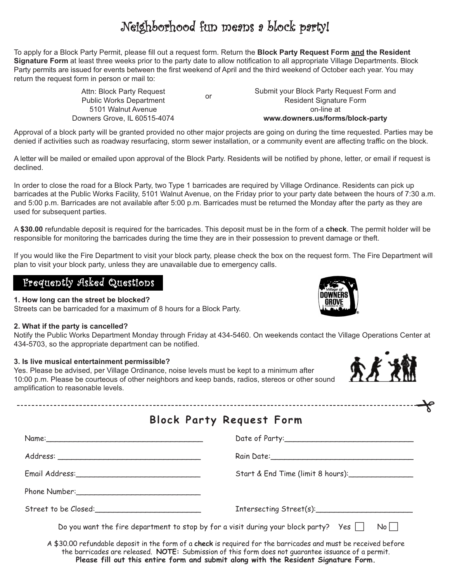## Neighborhood fun means a block party!

To apply for a Block Party Permit, please fill out a request form. Return the **Block Party Request Form and the Resident Signature Form** at least three weeks prior to the party date to allow notification to all appropriate Village Departments. Block Party permits are issued for events between the first weekend of April and the third weekend of October each year. You may return the request form in person or mail to:

or<br>Public Works Department Attn: Block Party Request 5101 Walnut Avenue Downers Grove, IL 60515-4074

Submit your Block Party Request Form and Resident Signature Form on-line at **www.downers.us/forms/block-party**

Approval of a block party will be granted provided no other major projects are going on during the time requested. Parties may be denied if activities such as roadway resurfacing, storm sewer installation, or a community event are affecting traffic on the block.

A letter will be mailed or emailed upon approval of the Block Party. Residents will be notified by phone, letter, or email if request is declined.

In order to close the road for a Block Party, two Type 1 barricades are required by Village Ordinance. Residents can pick up barricades at the Public Works Facility, 5101 Walnut Avenue, on the Friday prior to your party date between the hours of 7:30 a.m. and 5:00 p.m. Barricades are not available after 5:00 p.m. Barricades must be returned the Monday after the party as they are used for subsequent parties.

A **\$30.00** refundable deposit is required for the barricades. This deposit must be in the form of a **check**. The permit holder will be responsible for monitoring the barricades during the time they are in their possession to prevent damage or theft.

If you would like the Fire Department to visit your block party, please check the box on the request form. The Fire Department will plan to visit your block party, unless they are unavailable due to emergency calls.

### Frequently Asked Questions

**1. How long can the street be blocked?** Streets can be barricaded for a maximum of 8 hours for a Block Party.

#### **2. What if the party is cancelled?**

Notify the Public Works Department Monday through Friday at 434-5460. On weekends contact the Village Operations Center at 434-5703, so the appropriate department can be notified.

#### **3. Is live musical entertainment permissible?**

Yes. Please be advised, per Village Ordinance, noise levels must be kept to a minimum after 10:00 p.m. Please be courteous of other neighbors and keep bands, radios, stereos or other sound amplification to reasonable levels.



 $\rightarrow$ 

|  | <b>Block Party Request Form</b> |  |
|--|---------------------------------|--|
|  |                                 |  |

|                                                                                                                                                                                                                                                                                                              | Rain Date: 1988                   |  |  |  |
|--------------------------------------------------------------------------------------------------------------------------------------------------------------------------------------------------------------------------------------------------------------------------------------------------------------|-----------------------------------|--|--|--|
| Email Address: 1988 - 1988 - 1988 - 1988 - 1988 - 1988 - 1988 - 1988 - 1988 - 1988 - 1988 - 1988 - 1988 - 1988                                                                                                                                                                                               | Start & End Time (limit 8 hours): |  |  |  |
|                                                                                                                                                                                                                                                                                                              |                                   |  |  |  |
|                                                                                                                                                                                                                                                                                                              |                                   |  |  |  |
| Do you want the fire department to stop by for a visit during your block party? Yes $\Box$ No $\Box$                                                                                                                                                                                                         |                                   |  |  |  |
| A \$30.00 refundable deposit in the form of a check is required for the barricades and must be received before<br>the barricades are released. NOTE: Submission of this form does not quarantee issuance of a permit.<br>Please fill out this entire form and submit along with the Resident Signature Form. |                                   |  |  |  |